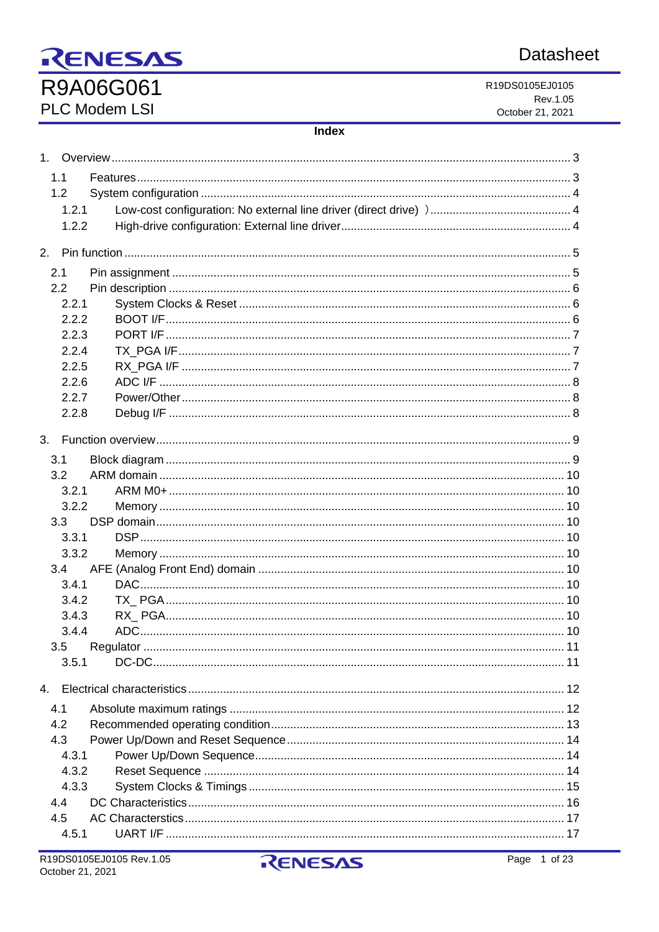# **Datasheet**

# RENESAS R9A06G061

PLC Modem LSI

R19DS0105EJ0105 Rev.1.05 October 21, 2021

#### **Index**

| 1 <sup>1</sup> |  |
|----------------|--|
| 1.1            |  |
| 1.2            |  |
| 1.2.1          |  |
| 1.2.2          |  |
|                |  |
| 2.             |  |
| 2.1            |  |
| 2.2            |  |
| 2.2.1          |  |
| 2.2.2          |  |
| 2.2.3          |  |
| 2.2.4          |  |
| 2.2.5          |  |
| 2.2.6          |  |
| 2.2.7          |  |
| 2.2.8          |  |
|                |  |
| 3.             |  |
| 3.1            |  |
| 3.2            |  |
| 3.2.1          |  |
| 3.2.2          |  |
| 3.3            |  |
| 3.3.1          |  |
| 3.3.2          |  |
| 3.4            |  |
| 3.4.1          |  |
| 3.4.2          |  |
| 3.4.3          |  |
| 3.4.4          |  |
| 3.5            |  |
| 3.5.1          |  |
| 4.             |  |
| 4.1            |  |
| 4.2            |  |
| 4.3            |  |
| 4.3.1          |  |
| 4.3.2          |  |
| 4.3.3          |  |
| 4.4            |  |
| 4.5            |  |
| 4.5.1          |  |
|                |  |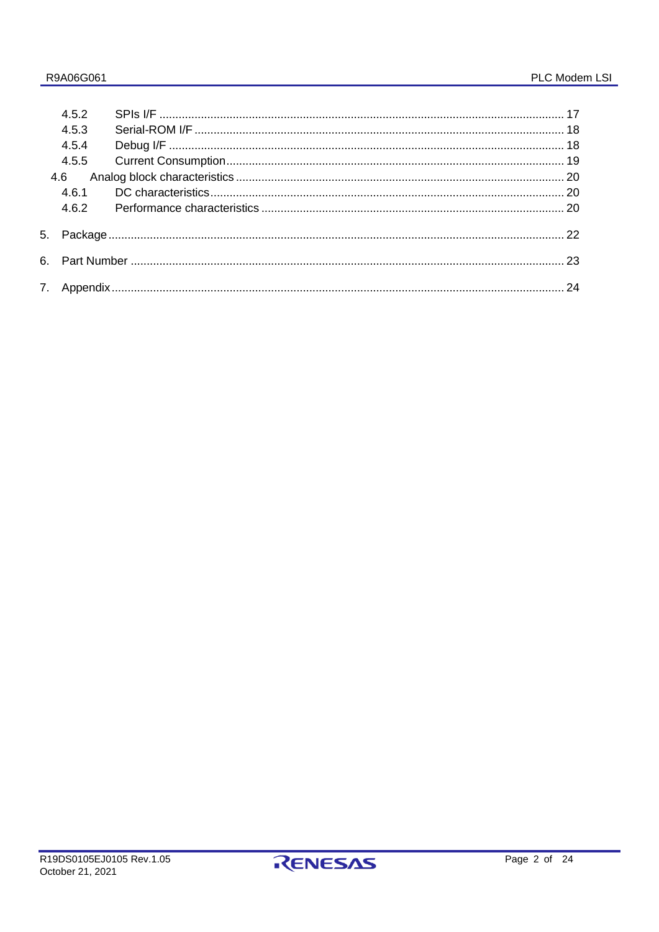|     | 452   |  |  |  |  |
|-----|-------|--|--|--|--|
|     | 4.5.3 |  |  |  |  |
|     | 4.5.4 |  |  |  |  |
|     | 4.5.5 |  |  |  |  |
| 4.6 |       |  |  |  |  |
|     | 461   |  |  |  |  |
|     | 462   |  |  |  |  |
|     |       |  |  |  |  |
|     |       |  |  |  |  |
|     |       |  |  |  |  |

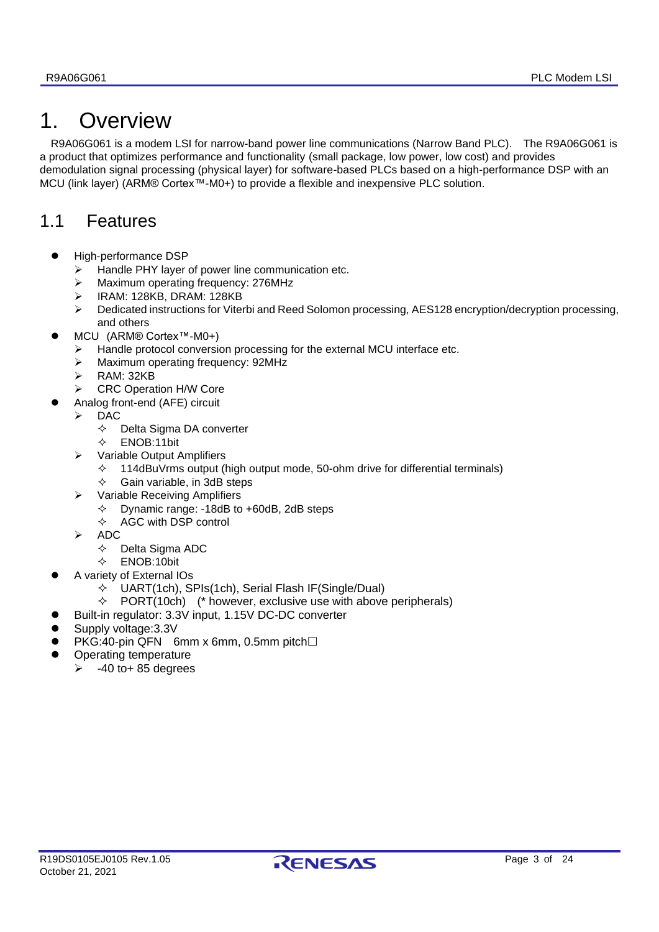# <span id="page-2-0"></span>1. Overview

R9A06G061 is a modem LSI for narrow-band power line communications (Narrow Band PLC). The R9A06G061 is a product that optimizes performance and functionality (small package, low power, low cost) and provides demodulation signal processing (physical layer) for software-based PLCs based on a high-performance DSP with an MCU (link layer) (ARM® Cortex™-M0+) to provide a flexible and inexpensive PLC solution.

# <span id="page-2-1"></span>1.1 Features

- ⚫ High-performance DSP
	- ➢ Handle PHY layer of power line communication etc.
	- ➢ Maximum operating frequency: 276MHz
	- ➢ IRAM: 128KB, DRAM: 128KB
	- ➢ Dedicated instructions for Viterbi and Reed Solomon processing, AES128 encryption/decryption processing, and others
- ⚫ MCU (ARM® Cortex™-M0+)
	- ➢ Handle protocol conversion processing for the external MCU interface etc.
	- ➢ Maximum operating frequency: 92MHz
	- ➢ RAM: 32KB
	- ➢ CRC Operation H/W Core
	- ⚫ Analog front-end (AFE) circuit
	- ➢ DAC
		- $\Leftrightarrow$  Delta Sigma DA converter
		- ENOB:11bit
		- ➢ Variable Output Amplifiers
			- $\div$  114dBuVrms output (high output mode, 50-ohm drive for differential terminals)
			- $\diamond$  Gain variable, in 3dB steps
		- ➢ Variable Receiving Amplifiers
			- Dynamic range: -18dB to +60dB, 2dB steps
			- $\Diamond$  AGC with DSP control
		- ➢ ADC
			- $\Leftrightarrow$  Delta Sigma ADC
	- ENOB:10bit
	- ⚫ A variety of External IOs
		- $\Diamond$  UART(1ch), SPIs(1ch), Serial Flash IF(Single/Dual)
		- $\div$  PORT(10ch) (\* however, exclusive use with above peripherals)
	- ⚫ Built-in regulator: 3.3V input, 1.15V DC-DC converter
- ⚫ Supply voltage:3.3V
- $\bullet$  PKG:40-pin QFN 6mm x 6mm, 0.5mm pitch $\square$
- ⚫ Operating temperature
	- $\geq$  -40 to + 85 degrees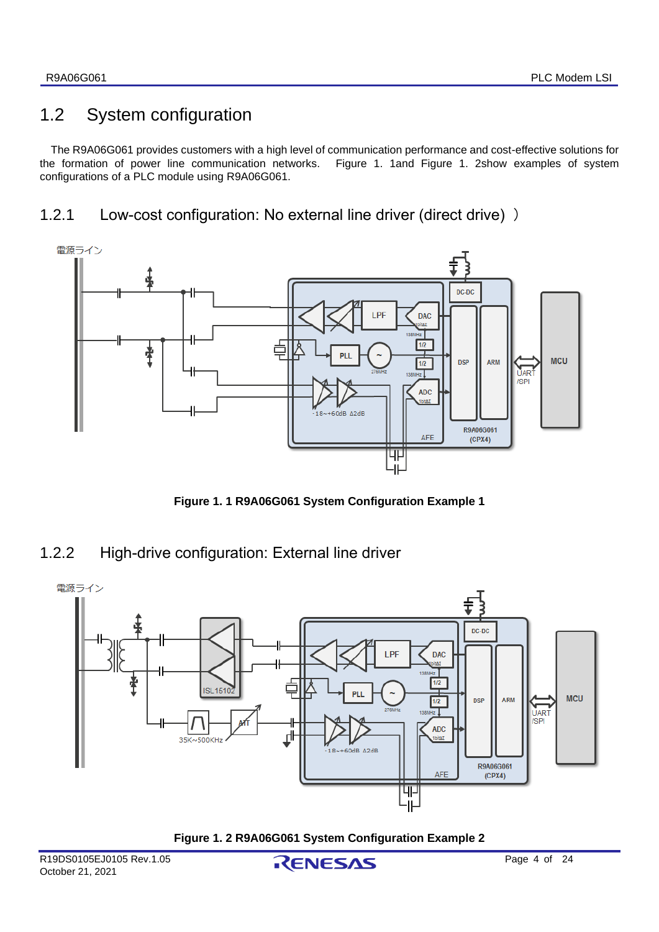# <span id="page-3-0"></span>1.2 System configuration

The R9A06G061 provides customers with a high level of communication performance and cost-effective solutions for the formation of power line communication networks. [Figure 1.](#page-3-3) 1and [Figure 1. 2s](#page-3-4)how examples of system configurations of a PLC module using R9A06G061.

## <span id="page-3-1"></span>1.2.1 Low-cost configuration: No external line driver (direct drive) )



**Figure 1. 1 R9A06G061 System Configuration Example 1**

# <span id="page-3-3"></span><span id="page-3-2"></span>1.2.2 High-drive configuration: External line driver



<span id="page-3-4"></span>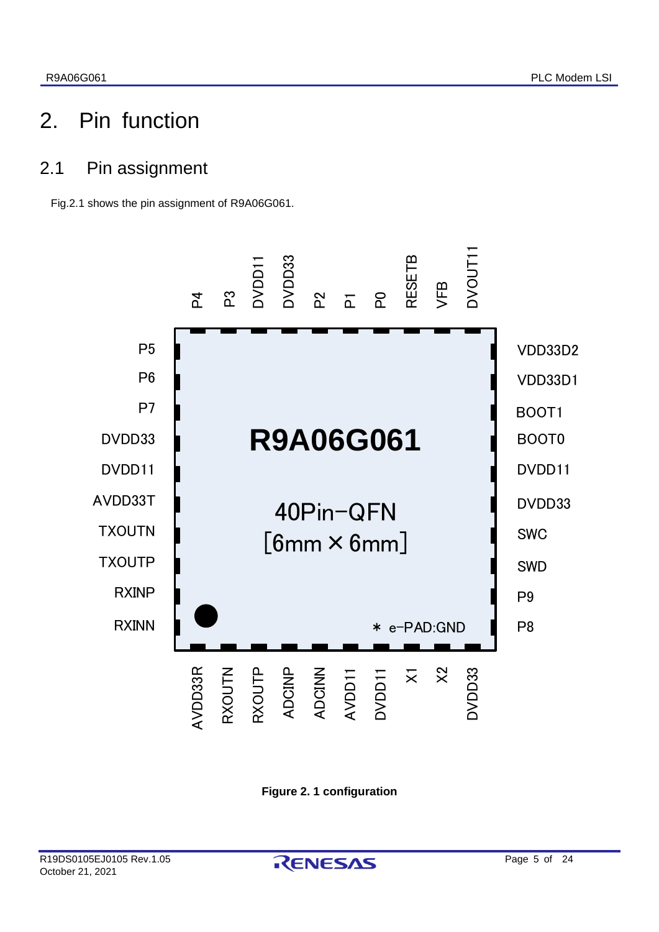# <span id="page-4-0"></span>2. Pin function

# <span id="page-4-1"></span>2.1 Pin assignment

Fig.2.1 shows the pin assignment of R9A06G061.



**Figure 2. 1 configuration**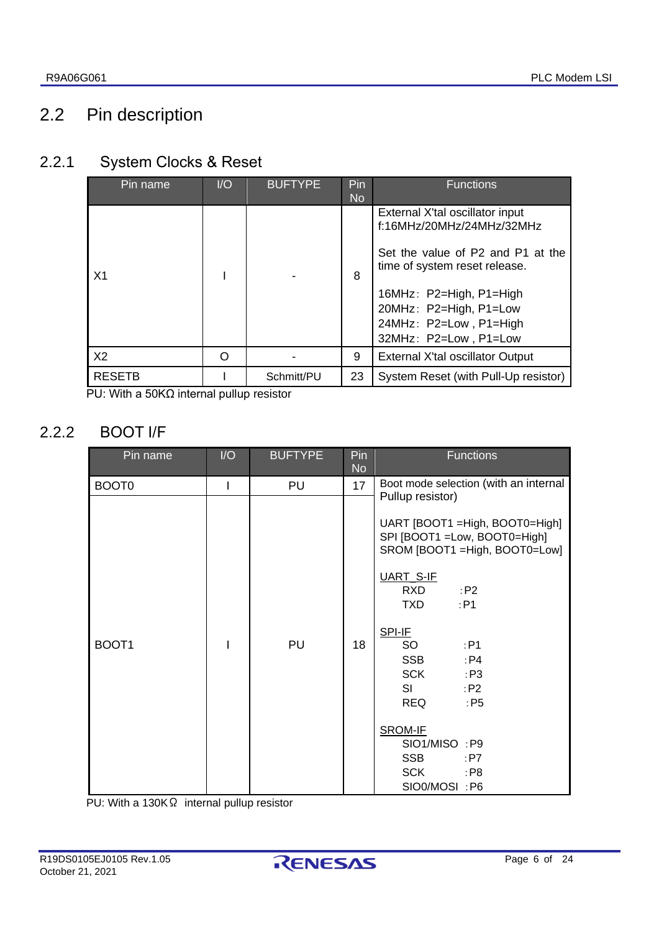# <span id="page-5-0"></span>2.2 Pin description

# <span id="page-5-1"></span>2.2.1 System Clocks & Reset

| 1/O<br>Pin name |   | <b>BUFTYPE</b> | Pin<br><b>No</b> | <b>Functions</b>                                                                                  |
|-----------------|---|----------------|------------------|---------------------------------------------------------------------------------------------------|
|                 |   |                |                  | External X'tal oscillator input<br>f:16MHz/20MHz/24MHz/32MHz<br>Set the value of P2 and P1 at the |
| X <sub>1</sub>  |   |                | 8                | time of system reset release.                                                                     |
|                 |   |                |                  | 16MHz: P2=High, P1=High                                                                           |
|                 |   |                |                  | 20MHz: P2=High, P1=Low<br>24MHz: P2=Low, P1=High                                                  |
|                 |   |                |                  | 32MHz: P2=Low, P1=Low                                                                             |
| X <sub>2</sub>  | ∩ |                | 9                | External X'tal oscillator Output                                                                  |
| <b>RESETB</b>   |   | Schmitt/PU     | 23               | System Reset (with Pull-Up resistor)                                                              |

PU: With a 50KΩ internal pullup resistor

# <span id="page-5-2"></span>2.2.2 BOOT I/F

| Pin name          | I/O | <b>BUFTYPE</b> | Pin<br><b>No</b> | <b>Functions</b>                                                                                                                                                                                                                                                                                                                                                                                   |
|-------------------|-----|----------------|------------------|----------------------------------------------------------------------------------------------------------------------------------------------------------------------------------------------------------------------------------------------------------------------------------------------------------------------------------------------------------------------------------------------------|
| BOOT <sub>0</sub> |     | PU             | 17               | Boot mode selection (with an internal                                                                                                                                                                                                                                                                                                                                                              |
| BOOT1             |     | PU             | 18               | Pullup resistor)<br>UART [BOOT1 = High, BOOT0 = High]<br>SPI [BOOT1 =Low, BOOT0=High]<br>SROM [BOOT1 = High, BOOT0 = Low]<br>UART_S-IF<br><b>RXD</b><br>P2<br>TXD.<br>:P1<br>SPI-IF<br>SO<br>: P1<br><b>SSB</b><br>: P4<br><b>SCK</b><br>$\cdot$ :P3<br>SI<br>: $P2$<br><b>REQ</b><br>$:$ P <sub>5</sub><br>SROM-IF<br>SIO1/MISO: P9<br><b>SSB</b><br>:P7<br><b>SCK</b><br>$:$ P8<br>SIO0/MOSI: P6 |

PU: With a 130KΩ internal pullup resistor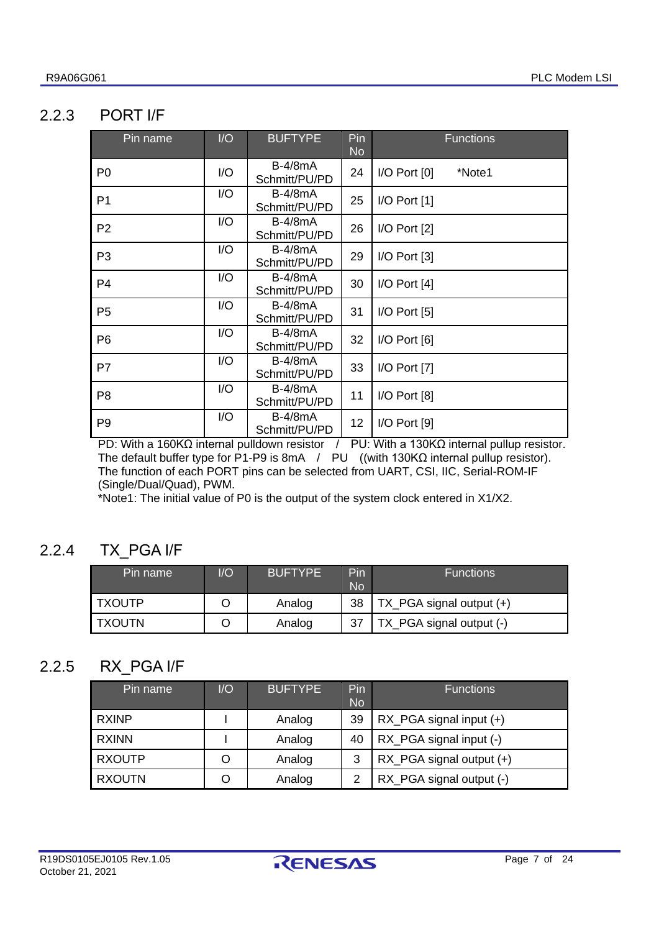### <span id="page-6-0"></span>2.2.3 PORT I/F

| Pin name       | J/O | <b>BUFTYPE</b>                  | Pin<br><b>No</b> | <b>Functions</b>           |
|----------------|-----|---------------------------------|------------------|----------------------------|
| P <sub>0</sub> | 1/O | $B-4/8mA$<br>Schmitt/PU/PD      | 24               | $I/O$ Port $[0]$<br>*Note1 |
| P <sub>1</sub> | 1/O | $B-4/8mA$<br>Schmitt/PU/PD      | 25               | $I/O$ Port $[1]$           |
| P <sub>2</sub> | 1/O | $B-4/8mA$<br>Schmitt/PU/PD      | 26               | I/O Port [2]               |
| P <sub>3</sub> | 1/O | $B-4/8mA$<br>Schmitt/PU/PD      | 29               | $I/O$ Port $[3]$           |
| P <sub>4</sub> | 1/O | $B-4/8mA$<br>Schmitt/PU/PD      | 30               | $I/O$ Port $[4]$           |
| P <sub>5</sub> | 1/O | $B-4/8mA$<br>Schmitt/PU/PD      | 31               | $I/O$ Port $[5]$           |
| P <sub>6</sub> | 1/O | $B-4/8mA$<br>Schmitt/PU/PD      | 32               | $I/O$ Port $[6]$           |
| P7             | 1/O | $B-4/8mA$<br>Schmitt/PU/PD      | 33               | I/O Port [7]               |
| P <sub>8</sub> | 1/O | <b>B-4/8mA</b><br>Schmitt/PU/PD | 11               | I/O Port [8]               |
| P <sub>9</sub> | 1/O | $B-4/8mA$<br>Schmitt/PU/PD      | 12               | I/O Port [9]               |

PD: With a 160KΩ internal pulldown resistor / PU: With a 130KΩ internal pullup resistor. The default buffer type for P1-P9 is 8mA / PU ((with 130KΩ internal pullup resistor). The function of each PORT pins can be selected from UART, CSI, IIC, Serial-ROM-IF (Single/Dual/Quad), PWM.

\*Note1: The initial value of P0 is the output of the system clock entered in X1/X2.

### <span id="page-6-1"></span>2.2.4 TX\_PGA I/F

| Pin name | 1/O | <b>BUFTYPE</b> | Pin<br>No | <b>Functions</b>         |
|----------|-----|----------------|-----------|--------------------------|
| I TXOUTP |     | Analog         | 38        | TX_PGA signal output (+) |
| I TXOUTN |     | Analog         |           | TX_PGA signal output (-) |

### <span id="page-6-2"></span>2.2.5 RX\_PGA I/F

| Pin name      | 1/O | <b>BUFTYPE</b> | Pin<br><b>No</b> | <b>Functions</b>             |
|---------------|-----|----------------|------------------|------------------------------|
| <b>RXINP</b>  |     | Analog         | 39               | $RX_PGA$ signal input $(+)$  |
| <b>RXINN</b>  |     | Analog         | 40               | RX_PGA signal input (-)      |
| <b>RXOUTP</b> | O   | Analog         | 3                | $RX$ PGA signal output $(+)$ |
| <b>RXOUTN</b> |     | Analog         | 2                | RX_PGA signal output (-)     |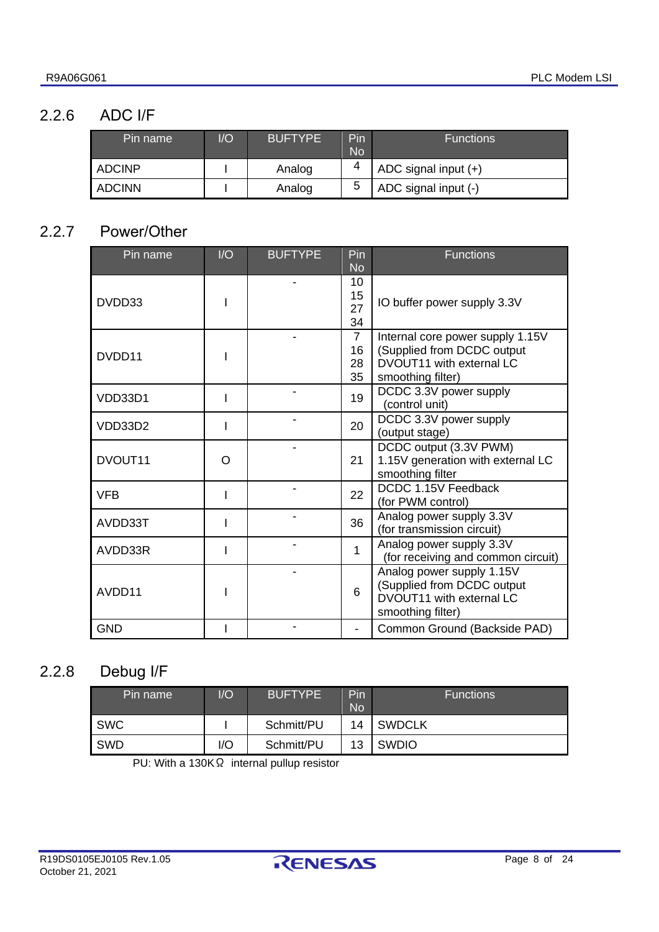### <span id="page-7-0"></span>2.2.6 ADC I/F

| Pin name      | I/O | <b>BUFTYPE</b> | Pin<br><b>No</b> | <b>Functions</b>       |
|---------------|-----|----------------|------------------|------------------------|
| <b>ADCINP</b> |     | Analog         | 4                | ADC signal input $(+)$ |
| <b>ADCINN</b> |     | Analog         | 5                | ADC signal input (-)   |

### <span id="page-7-1"></span>2.2.7 Power/Other

| Pin name                                   | I/O | <b>BUFTYPE</b>                                                                                                  | Pin<br><b>No</b>     | <b>Functions</b>                                                                                         |
|--------------------------------------------|-----|-----------------------------------------------------------------------------------------------------------------|----------------------|----------------------------------------------------------------------------------------------------------|
| DVDD33                                     |     |                                                                                                                 | 10<br>15<br>27<br>34 | IO buffer power supply 3.3V                                                                              |
| $\overline{7}$<br>16<br>DVDD11<br>28<br>35 |     | Internal core power supply 1.15V<br>(Supplied from DCDC output<br>DVOUT11 with external LC<br>smoothing filter) |                      |                                                                                                          |
| VDD33D1                                    |     |                                                                                                                 | 19                   | DCDC 3.3V power supply<br>(control unit)                                                                 |
| VDD33D2                                    |     |                                                                                                                 | 20                   | DCDC 3.3V power supply<br>(output stage)                                                                 |
| DVOUT11                                    | O   |                                                                                                                 | 21                   | DCDC output (3.3V PWM)<br>1.15V generation with external LC<br>smoothing filter                          |
| <b>VFB</b>                                 |     |                                                                                                                 | 22                   | DCDC 1.15V Feedback<br>(for PWM control)                                                                 |
| AVDD33T                                    |     |                                                                                                                 | 36                   | Analog power supply 3.3V<br>(for transmission circuit)                                                   |
| AVDD33R                                    |     |                                                                                                                 | 1                    | Analog power supply 3.3V<br>(for receiving and common circuit)                                           |
| AVDD11                                     |     |                                                                                                                 | 6                    | Analog power supply 1.15V<br>(Supplied from DCDC output<br>DVOUT11 with external LC<br>smoothing filter) |
| <b>GND</b>                                 |     |                                                                                                                 |                      | Common Ground (Backside PAD)                                                                             |

# <span id="page-7-2"></span>2.2.8 Debug I/F

| Pin name   | $\overline{O}$ | <b>BUFTYPE</b> | Pin<br><b>No</b> | <b>Functions</b> |
|------------|----------------|----------------|------------------|------------------|
| <b>SWC</b> |                | Schmitt/PU     | 14               | <b>SWDCLK</b>    |
| <b>SWD</b> | I/O            | Schmitt/PU     | 13               | <b>SWDIO</b>     |

PU: With a 130KΩ internal pullup resistor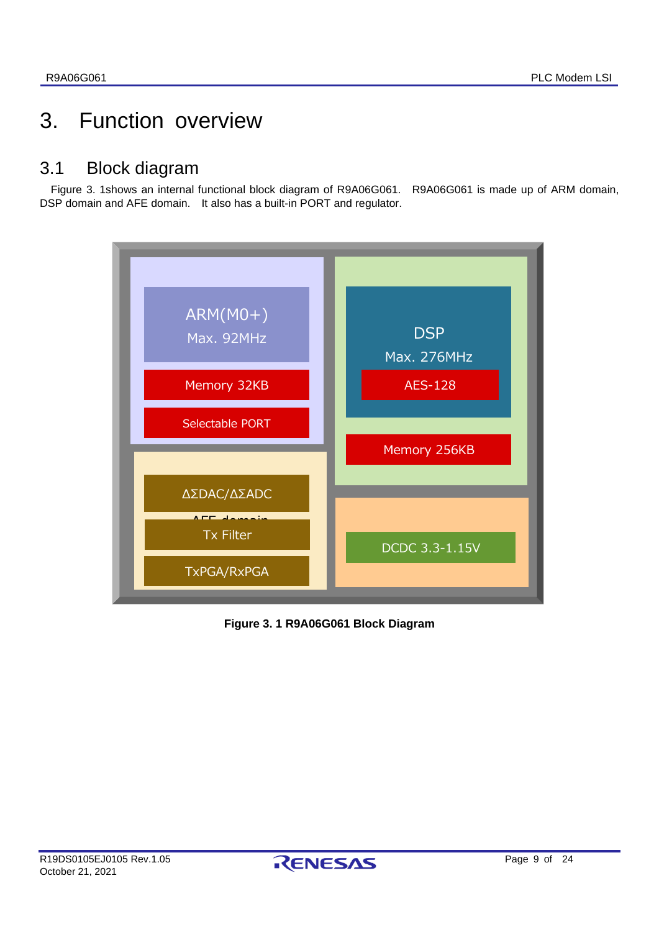# <span id="page-8-0"></span>3. Function overview

# <span id="page-8-1"></span>3.1 Block diagram

[Figure 3.](#page-8-2) 1shows an internal functional block diagram of R9A06G061. R9A06G061 is made up of ARM domain, DSP domain and AFE domain. It also has a built-in PORT and regulator.



<span id="page-8-2"></span>**Figure 3. 1 R9A06G061 Block Diagram**

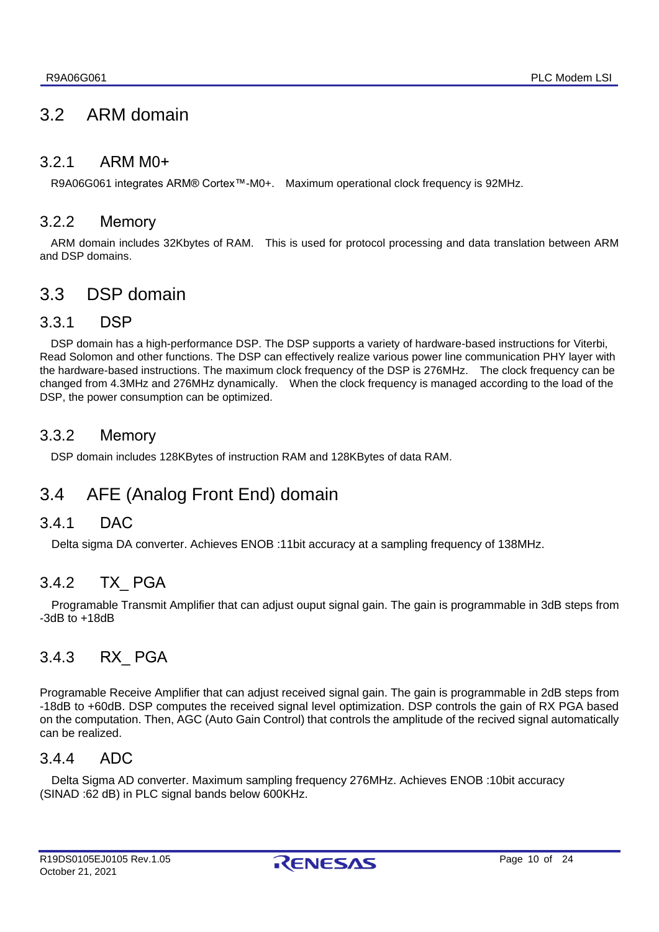# <span id="page-9-0"></span>3.2 ARM domain

### <span id="page-9-1"></span>3.2.1 ARM M0+

R9A06G061 integrates ARM® Cortex™-M0+. Maximum operational clock frequency is 92MHz.

### <span id="page-9-2"></span>3.2.2 Memory

ARM domain includes 32Kbytes of RAM. This is used for protocol processing and data translation between ARM and DSP domains.

# <span id="page-9-3"></span>3.3 DSP domain

### <span id="page-9-4"></span>3.3.1 DSP

DSP domain has a high-performance DSP. The DSP supports a variety of hardware-based instructions for Viterbi, Read Solomon and other functions. The DSP can effectively realize various power line communication PHY layer with the hardware-based instructions. The maximum clock frequency of the DSP is 276MHz. The clock frequency can be changed from 4.3MHz and 276MHz dynamically. When the clock frequency is managed according to the load of the DSP, the power consumption can be optimized.

### <span id="page-9-5"></span>3.3.2 Memory

DSP domain includes 128KBytes of instruction RAM and 128KBytes of data RAM.

# <span id="page-9-6"></span>3.4 AFE (Analog Front End) domain

### <span id="page-9-7"></span>3.4.1 DAC

Delta sigma DA converter. Achieves ENOB :11bit accuracy at a sampling frequency of 138MHz.

### <span id="page-9-8"></span>3.4.2 TX\_ PGA

Programable Transmit Amplifier that can adjust ouput signal gain. The gain is programmable in 3dB steps from -3dB to +18dB

### <span id="page-9-9"></span>3.4.3 RX\_ PGA

Programable Receive Amplifier that can adjust received signal gain. The gain is programmable in 2dB steps from -18dB to +60dB. DSP computes the received signal level optimization. DSP controls the gain of RX PGA based on the computation. Then, AGC (Auto Gain Control) that controls the amplitude of the recived signal automatically can be realized.

### <span id="page-9-10"></span>3.4.4 ADC

Delta Sigma AD converter. Maximum sampling frequency 276MHz. Achieves ENOB :10bit accuracy (SINAD :62 dB) in PLC signal bands below 600KHz.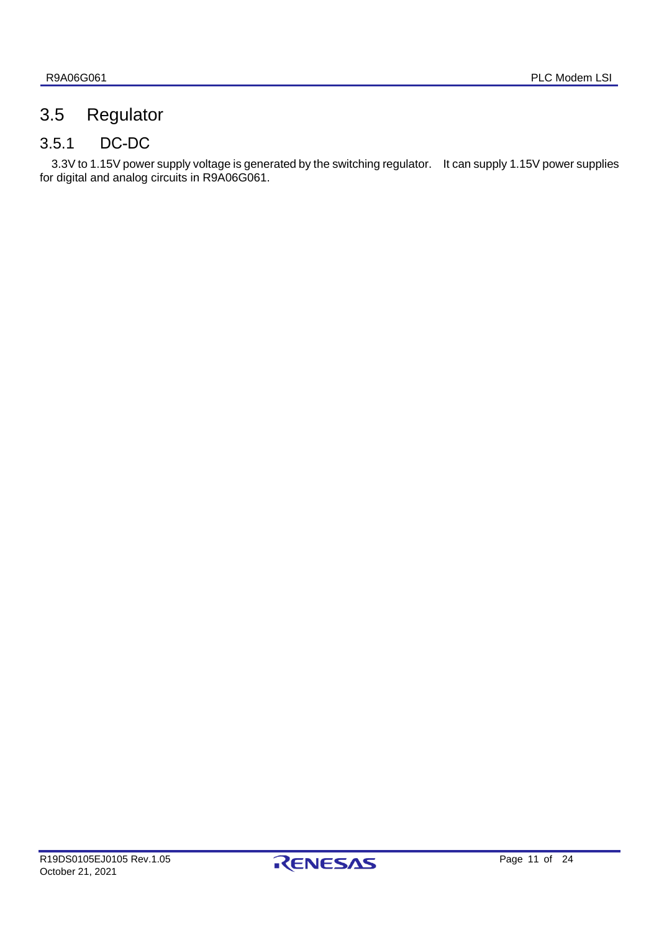# <span id="page-10-0"></span>3.5 Regulator

# <span id="page-10-1"></span>3.5.1 DC-DC

3.3V to 1.15V power supply voltage is generated by the switching regulator. It can supply 1.15V power supplies for digital and analog circuits in R9A06G061.

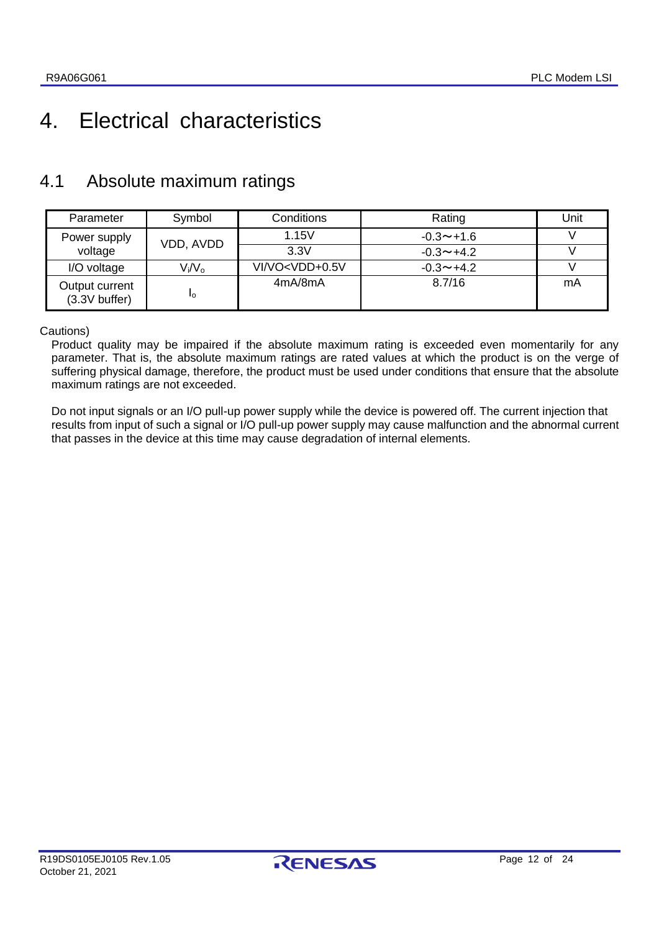# <span id="page-11-0"></span>4. Electrical characteristics

# <span id="page-11-1"></span>4.1 Absolute maximum ratings

| Parameter                          | Symbol    | Conditions                                                                       | Rating                  | Unit |
|------------------------------------|-----------|----------------------------------------------------------------------------------|-------------------------|------|
| Power supply                       | VDD, AVDD | 1.15V                                                                            | $-0.3 - +1.6$           |      |
| voltage                            |           | 3.3V                                                                             | $-0.3 \rightarrow +4.2$ |      |
| I/O voltage                        | $V_i/V_o$ | VI/VO <vdd+0.5v< td=""><td><math>-0.3 \sim +4.2</math></td><td></td></vdd+0.5v<> | $-0.3 \sim +4.2$        |      |
| Output current<br>$(3.3V)$ buffer) | Ιo        | 4mA/8mA                                                                          | 8.7/16                  | mA   |

Cautions)

Product quality may be impaired if the absolute maximum rating is exceeded even momentarily for any parameter. That is, the absolute maximum ratings are rated values at which the product is on the verge of suffering physical damage, therefore, the product must be used under conditions that ensure that the absolute maximum ratings are not exceeded.

Do not input signals or an I/O pull-up power supply while the device is powered off. The current injection that results from input of such a signal or I/O pull-up power supply may cause malfunction and the abnormal current that passes in the device at this time may cause degradation of internal elements.

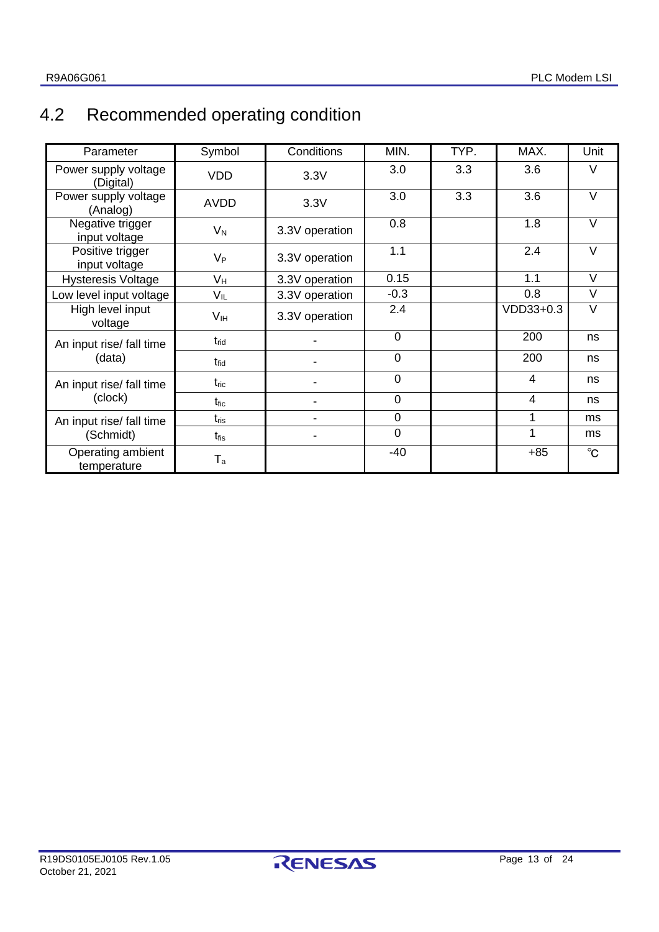# <span id="page-12-0"></span>4.2 Recommended operating condition

| Parameter                         | Symbol           | Conditions     | MIN.           | TYP. | MAX.           | Unit         |
|-----------------------------------|------------------|----------------|----------------|------|----------------|--------------|
| Power supply voltage<br>(Digital) | <b>VDD</b>       | 3.3V           | 3.0            | 3.3  | 3.6            | V            |
| Power supply voltage<br>(Analog)  | <b>AVDD</b>      | 3.3V           | 3.0            | 3.3  | 3.6            | $\vee$       |
| Negative trigger<br>input voltage | $V_N$            | 3.3V operation | 0.8            |      | 1.8            | $\vee$       |
| Positive trigger<br>input voltage | $V_{P}$          | 3.3V operation | 1.1            |      | 2.4            | $\vee$       |
| <b>Hysteresis Voltage</b>         | V <sub>H</sub>   | 3.3V operation | 0.15           |      | 1.1            | $\vee$       |
| Low level input voltage           | $V_{IL}$         | 3.3V operation | $-0.3$         |      | 0.8            | $\vee$       |
| High level input<br>voltage       | V <sub>IH</sub>  | 3.3V operation | 2.4            |      | VDD33+0.3      | V            |
| An input rise/ fall time          | $t_{\rm rid}$    |                | $\mathbf 0$    |      | 200            | ns           |
| (data)                            | $t_{\rm fid}$    |                | $\overline{0}$ |      | 200            | ns           |
| An input rise/ fall time          | $t_{\text{ric}}$ |                | $\mathbf 0$    |      | $\overline{4}$ | ns           |
| (clock)                           | t <sub>fic</sub> |                | $\mathbf 0$    |      | $\overline{4}$ | ns           |
| An input rise/ fall time          | $t_{\text{ris}}$ |                | $\mathbf 0$    |      | 1              | ms           |
| (Schmidt)                         | $t_{\rm fis}$    |                | $\mathbf 0$    |      |                | ms           |
| Operating ambient<br>temperature  | $T_a$            |                | $-40$          |      | $+85$          | $^{\circ}$ C |

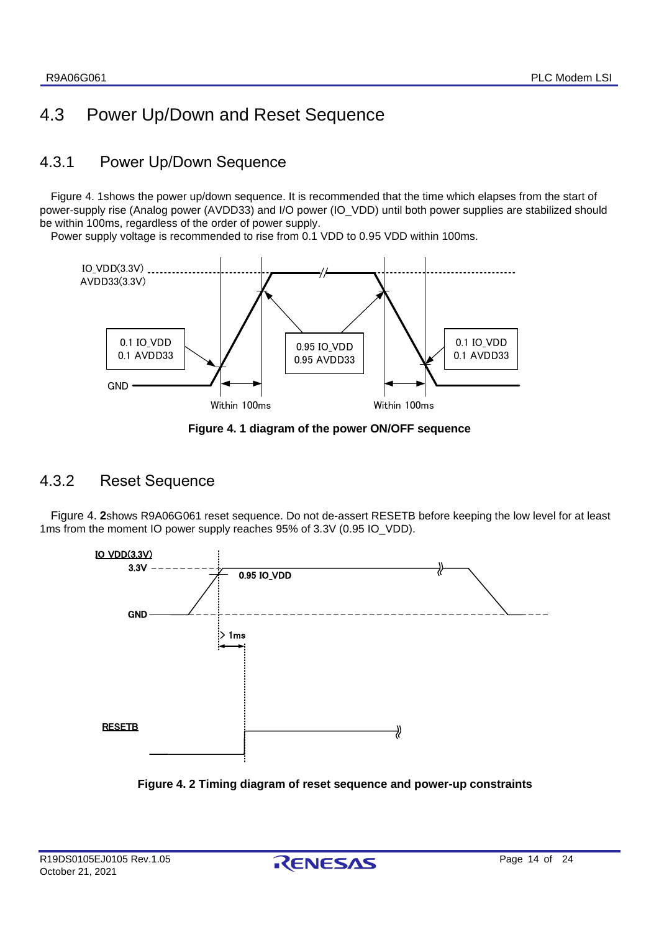# <span id="page-13-0"></span>4.3 Power Up/Down and Reset Sequence

### <span id="page-13-1"></span>4.3.1 Power Up/Down Sequence

[Figure 4.](#page-13-3) 1shows the power up/down sequence. It is recommended that the time which elapses from the start of power-supply rise (Analog power (AVDD33) and I/O power (IO\_VDD) until both power supplies are stabilized should be within 100ms, regardless of the order of power supply.

Power supply voltage is recommended to rise from 0.1 VDD to 0.95 VDD within 100ms.



**Figure 4. 1 diagram of the power ON/OFF sequence**

### <span id="page-13-3"></span><span id="page-13-2"></span>4.3.2 Reset Sequence

[Figure 4.](#page-13-4) **2**shows R9A06G061 reset sequence. Do not de-assert RESETB before keeping the low level for at least 1ms from the moment IO power supply reaches 95% of 3.3V (0.95 IO\_VDD).



<span id="page-13-4"></span>**Figure 4. 2 Timing diagram of reset sequence and power-up constraints**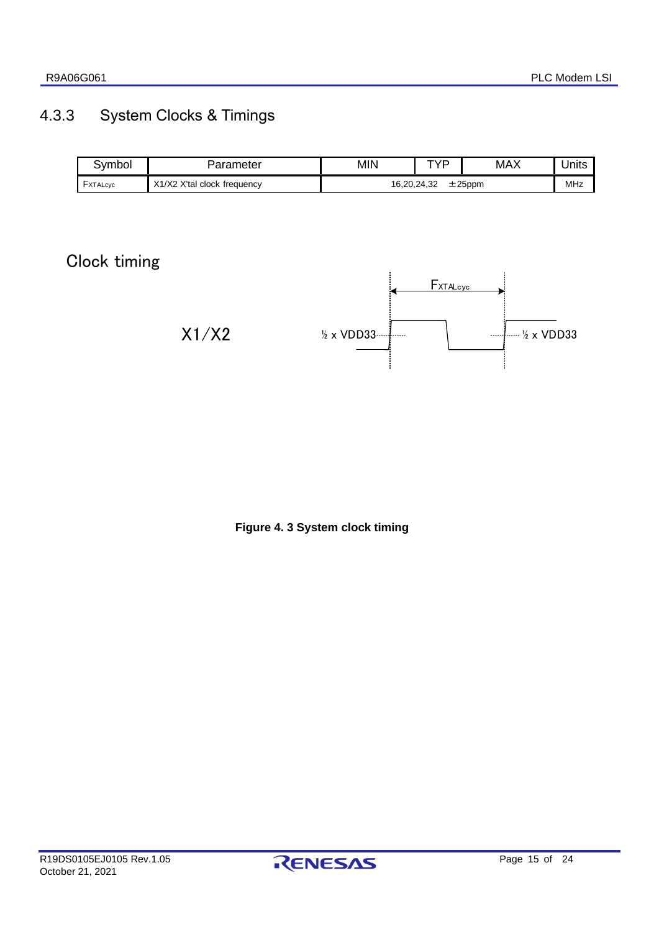# <span id="page-14-0"></span>4.3.3 System Clocks & Timings

| 3vmbol          | Parameter                   | <b>MIN</b>               | TVD | <b>MAX</b> | Units |
|-----------------|-----------------------------|--------------------------|-----|------------|-------|
| <b>FXTALcyc</b> | X1/X2 X'tal clock frequency | 16,20,24,32<br>$±25$ ppm |     | MHz        |       |

# Clock timing



**Figure 4. 3 System clock timing**

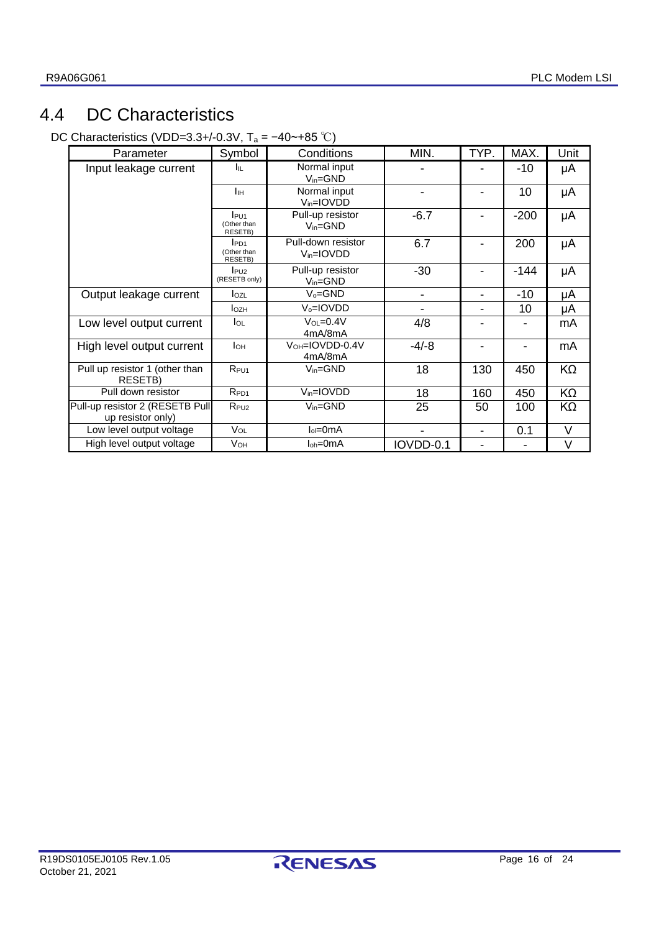# <span id="page-15-0"></span>4.4 DC Characteristics

DC Characteristics (VDD=3.3+/-0.3V, T<sup>a</sup> = −40~+85 ℃)

| Parameter                                            | Symbol                                            | Conditions                                   | MIN.                         | TYP.           | MAX.   | Unit   |
|------------------------------------------------------|---------------------------------------------------|----------------------------------------------|------------------------------|----------------|--------|--------|
| Input leakage current                                | Iщ.                                               | Normal input<br>$V_{in} = GND$               |                              |                | -10    | μA     |
|                                                      | Iн                                                | Normal input<br>V <sub>in</sub> =IOVDD       |                              |                | 10     | μA     |
|                                                      | l <sub>PU1</sub><br>(Other than<br><b>RESETB)</b> | Pull-up resistor<br>$V_{in} = GND$           | $-6.7$                       |                | $-200$ | μA     |
|                                                      | $l$ <sub>PD1</sub><br>(Other than<br>RESETB)      | Pull-down resistor<br>V <sub>in</sub> =IOVDD | 6.7                          |                | 200    | μA     |
|                                                      | P <sub>U2</sub><br>(RESETB only)                  | Pull-up resistor<br>$V_{in} = GND$           | $-30$                        |                | -144   | μA     |
| Output leakage current                               | IozL                                              | $V_0 = GND$                                  | $\qquad \qquad \blacksquare$ | ۰              | -10    | μA     |
|                                                      | <b>l</b> ozh                                      | V <sub>o</sub> =IOVDD                        |                              |                | 10     | μA     |
| Low level output current                             | lol                                               | $VOL=0.4V$<br>4mA/8mA                        | 4/8                          |                |        | mA     |
| High level output current                            | Iон                                               | VOH=IOVDD-0.4V<br>4mA/8mA                    | $-4/-8$                      |                |        | mA     |
| Pull up resistor 1 (other than<br>RESETB)            | R <sub>PU1</sub>                                  | $V_{in} = GND$                               | 18                           | 130            | 450    | KΩ     |
| Pull down resistor                                   | R <sub>PD1</sub>                                  | $V_{in} = IOVDD$                             | 18                           | 160            | 450    | KΩ     |
| Pull-up resistor 2 (RESETB Pull<br>up resistor only) | $R_{PU2}$                                         | $V_{in} = GND$                               | 25                           | 50             | 100    | ΚΩ     |
| Low level output voltage                             | VOL                                               | $I_0 = 0$ mA                                 |                              | $\blacksquare$ | 0.1    | V      |
| High level output voltage                            | V <sub>OH</sub>                                   | $I_{oh} = 0$ mA                              | IOVDD-0.1                    |                |        | $\vee$ |

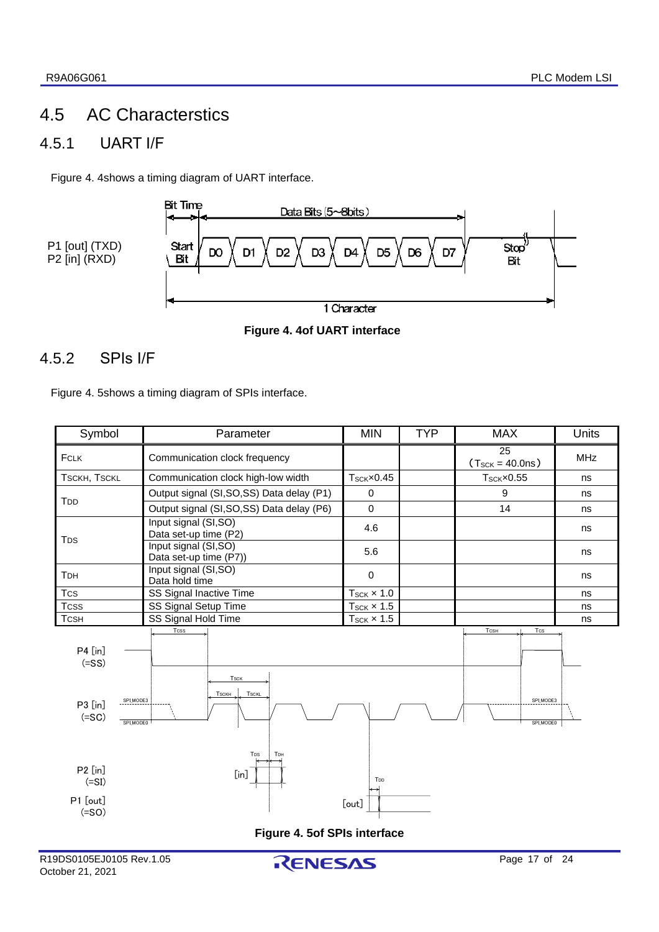# <span id="page-16-0"></span>4.5 AC Characterstics

# <span id="page-16-1"></span>4.5.1 UART I/F

[Figure 4.](#page-16-3) 4shows a timing diagram of UART interface.



#### <span id="page-16-3"></span>**Figure 4. 4of UART interface**

### <span id="page-16-2"></span>4.5.2 SPIs I/F

[Figure 4. 5s](#page-16-4)hows a timing diagram of SPIs interface.

<span id="page-16-4"></span>

| Symbol                                                                                                                                            | Parameter                                      |                             | <b>TYP</b> | <b>MAX</b>                   | Units      |  |  |  |
|---------------------------------------------------------------------------------------------------------------------------------------------------|------------------------------------------------|-----------------------------|------------|------------------------------|------------|--|--|--|
| FCLK                                                                                                                                              | Communication clock frequency                  |                             |            | 25<br>$(T_{SCK} = 40.0ns)$   | <b>MHz</b> |  |  |  |
| TSCKH, TSCKL                                                                                                                                      | Communication clock high-low width             | $T_{SCK} \times 0.45$       |            | $T_{\text{SCK}} \times 0.55$ | ns         |  |  |  |
| T <sub>DD</sub>                                                                                                                                   | Output signal (SI, SO, SS) Data delay (P1)     | $\mathbf 0$                 |            | 9                            | ns         |  |  |  |
|                                                                                                                                                   | Output signal (SI, SO, SS) Data delay (P6)     | $\mathbf 0$                 |            | 14                           | ns         |  |  |  |
| <b>T</b> <sub>D</sub> <sub>S</sub>                                                                                                                | Input signal (SI,SO)<br>Data set-up time (P2)  | 4.6                         |            |                              | ns         |  |  |  |
|                                                                                                                                                   | Input signal (SI,SO)<br>Data set-up time (P7)) | 5.6                         |            |                              | ns         |  |  |  |
| TDH                                                                                                                                               | Input signal (SI,SO)<br>Data hold time         | $\mathbf 0$                 |            |                              | ns         |  |  |  |
| <b>Tcs</b>                                                                                                                                        | SS Signal Inactive Time                        | $T_{\text{SCK}} \times 1.0$ |            |                              | ns         |  |  |  |
| <b>Tcss</b>                                                                                                                                       | SS Signal Setup Time                           | $T_{SCK}$ $\times$ 1.5      |            |                              | ns         |  |  |  |
| <b>TCSH</b>                                                                                                                                       | SS Signal Hold Time<br><b>Tcss</b>             | $T_{\text{SCK}} \times 1.5$ |            | <b>TCSH</b><br>Tcs           | ns         |  |  |  |
| P4 [in]<br>$(=SS)$<br><b>Tsck</b><br><b>TSCKL</b><br><b>TSCKH</b><br>SPI_MODE3<br>SPI_MODE3<br>P3 [in]<br>$(=SC)$<br>SPI_MODE0<br>SPI_MODE0       |                                                |                             |            |                              |            |  |  |  |
| T <sub>DS</sub><br>TDH<br>P2 [in]<br>$[$ in]<br>T <sub>DD</sub><br>$(=SI)$<br>P1 [out]<br>[out]<br>$(=SO)$<br><b>Figure 4. 5of SPIs interface</b> |                                                |                             |            |                              |            |  |  |  |
|                                                                                                                                                   |                                                |                             |            |                              |            |  |  |  |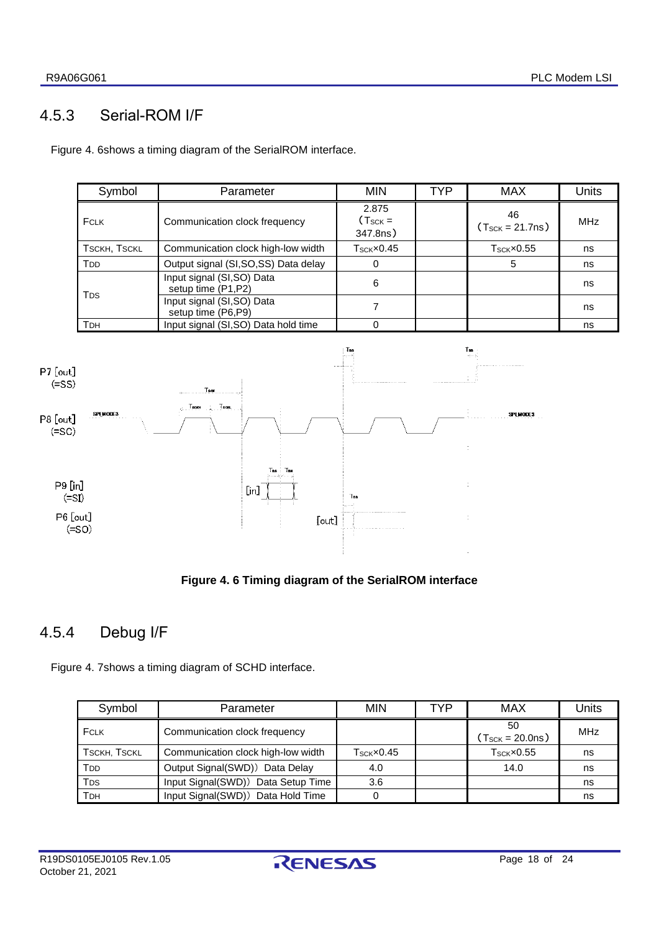# 4.5.3 Serial-ROM I/F

<span id="page-17-0"></span>[Figure 4. 6s](#page-17-2)hows a timing diagram of the SerialROM interface.

| Symbol                 | Parameter                                        | <b>MIN</b>                        | <b>TYP</b> | <b>MAX</b>                       | <b>Units</b> |
|------------------------|--------------------------------------------------|-----------------------------------|------------|----------------------------------|--------------|
| <b>FCLK</b>            | Communication clock frequency                    | 2.875<br>$(T_{SCK} =$<br>347.8ns) |            | 46<br>$(T_{SCK} = 21.7ns)$       | <b>MHz</b>   |
| <b>TSCKH, TSCKL</b>    | Communication clock high-low width               | $T_{\rm SCK}$ x $0.45$            |            | $T$ <sub>SCK</sub> $\times$ 0.55 | ns           |
| <b>T</b> <sub>D</sub>  | Output signal (SI, SO, SS) Data delay            |                                   |            | 5                                | ns           |
| <b>T</b> <sub>DS</sub> | Input signal (SI, SO) Data<br>setup time (P1,P2) | 6                                 |            |                                  | ns           |
|                        | Input signal (SI, SO) Data<br>setup time (P6,P9) |                                   |            |                                  | ns           |
| <b>T</b> DH            | Input signal (SI,SO) Data hold time              |                                   |            |                                  | ns           |



#### **Figure 4. 6 Timing diagram of the SerialROM interface**

### <span id="page-17-2"></span><span id="page-17-1"></span>4.5.4 Debug I/F

[Figure 4. 7s](#page-18-1)hows a timing diagram of SCHD interface.

| Symbol              | Parameter                          | MIN                              | TYP | MAX                                       | Units |
|---------------------|------------------------------------|----------------------------------|-----|-------------------------------------------|-------|
| FCLK                | Communication clock frequency      |                                  |     | 50<br>$(T_{\text{SCK}} = 20.0 \text{ns})$ | MHz   |
| <b>TSCKH, TSCKL</b> | Communication clock high-low width | $T$ <sub>SCK</sub> $\times$ 0.45 |     | $T$ <sub>SCK</sub> $\times$ 0.55          | ns    |
| T <sub>DD</sub>     | Output Signal(SWD)) Data Delay     | 4.0                              |     | 14.0                                      | ns    |
| T <sub>DS</sub>     | Input Signal(SWD)) Data Setup Time | 3.6                              |     |                                           | ns    |
| Трн                 | Input Signal(SWD)) Data Hold Time  |                                  |     |                                           | ns    |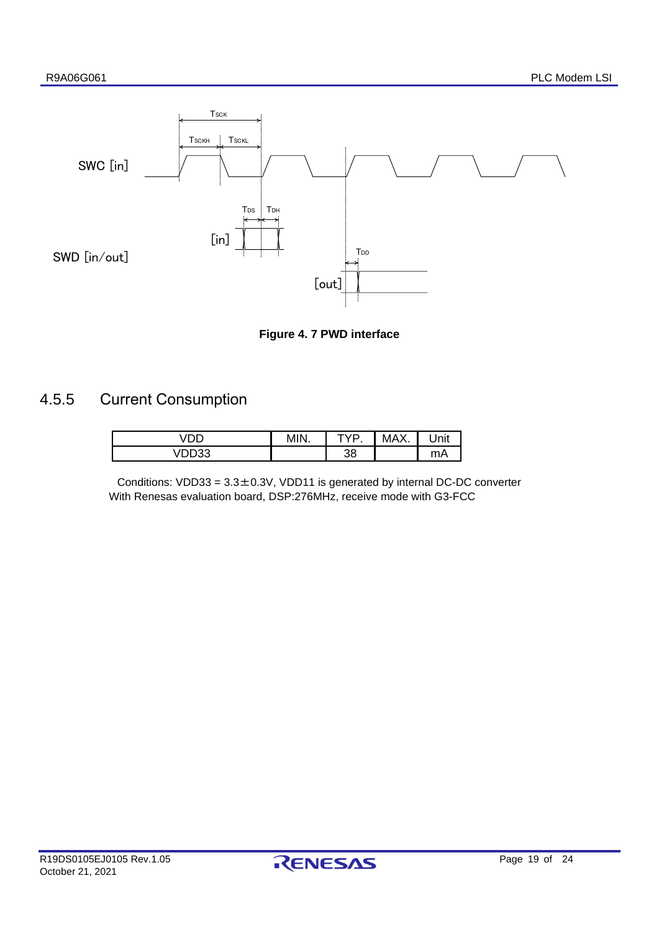



### <span id="page-18-1"></span><span id="page-18-0"></span>4.5.5 Current Consumption

|                                    | MIN<br>ч. | rvd | <b>MAY</b><br>٦Λ. | Jnit |
|------------------------------------|-----------|-----|-------------------|------|
| $\cdot$ $\sim$ $\sim$ $\sim$<br>ັບ |           | 38  |                   | mA   |

Conditions:  $VDD33 = 3.3 \pm 0.3V$ ,  $VDD11$  is generated by internal DC-DC converter With Renesas evaluation board, DSP:276MHz, receive mode with G3-FCC

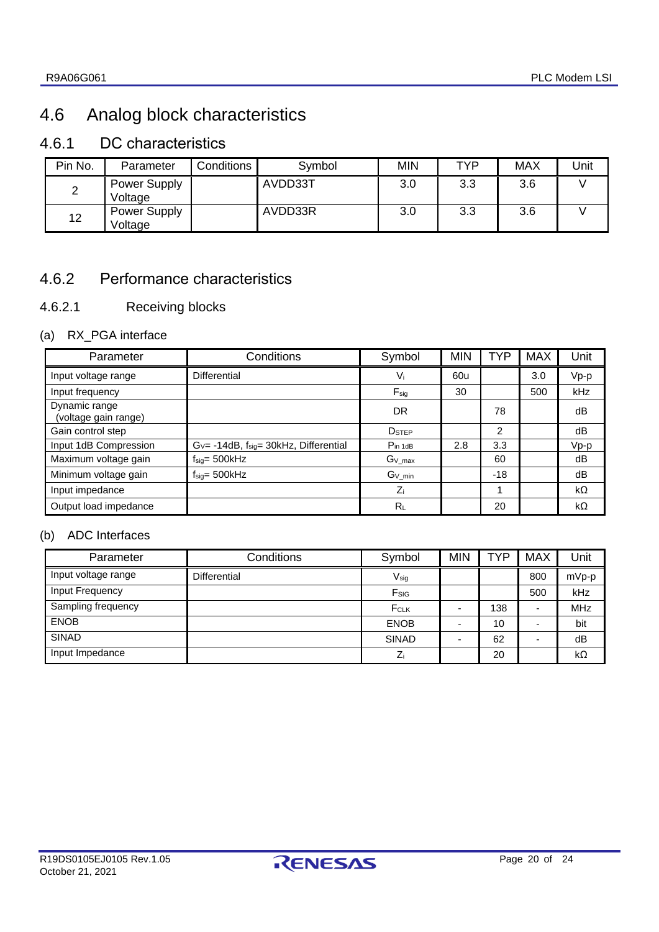# <span id="page-19-0"></span>4.6 Analog block characteristics

# <span id="page-19-1"></span>4.6.1 DC characteristics

| Pin No.    | Parameter               | Conditions | Symbol  | <b>MIN</b> | TYP | MAX | Jnit |
|------------|-------------------------|------------|---------|------------|-----|-----|------|
| $\epsilon$ | Power Supply<br>Voltage |            | AVDD33T | 3.0        | 3.3 | 3.6 |      |
| 12         | Power Supply<br>Voltage |            | AVDD33R | 3.0        | 3.3 | 3.6 |      |

### <span id="page-19-2"></span>4.6.2 Performance characteristics

### 4.6.2.1 Receiving blocks

### (a) RX\_PGA interface

| Parameter                             | Conditions                                     | Symbol            | <b>MIN</b> | TYP            | <b>MAX</b> | Unit      |
|---------------------------------------|------------------------------------------------|-------------------|------------|----------------|------------|-----------|
| Input voltage range                   | <b>Differential</b>                            | $V_i$             | 60u        |                | 3.0        | Vp-p      |
| Input frequency                       |                                                | $F_{sig}$         | 30         |                | 500        | kHz       |
| Dynamic range<br>(voltage gain range) |                                                | <b>DR</b>         |            | 78             |            | dB        |
| Gain control step                     |                                                | D <sub>STEP</sub> |            | $\overline{2}$ |            | dB        |
| Input 1dB Compression                 | $G_v$ = -14dB, $f_{sig}$ = 30kHz, Differential | $P_{in 1dB}$      | 2.8        | 3.3            |            | $Vp-p$    |
| Maximum voltage gain                  | $f_{sig} = 500kHz$                             | $G_{V\_max}$      |            | 60             |            | dB        |
| Minimum voltage gain                  | $f_{\text{sig}} = 500$ kHz                     | $G_{V\_min}$      |            | $-18$          |            | dB        |
| Input impedance                       |                                                | Zi                |            |                |            | $k\Omega$ |
| Output load impedance                 |                                                | RL                |            | 20             |            | kΩ        |

#### (b) ADC Interfaces

| Parameter           | Conditions   | Symbol       | <b>MIN</b> | TYP | <b>MAX</b> | Unit       |
|---------------------|--------------|--------------|------------|-----|------------|------------|
| Input voltage range | Differential | $V_{sig}$    |            |     | 800        | mVp-p      |
| Input Frequency     |              | Fsig         |            |     | 500        | kHz        |
| Sampling frequency  |              | FCLK         |            | 138 |            | <b>MHz</b> |
| <b>ENOB</b>         |              | <b>ENOB</b>  |            | 10  |            | bit        |
| <b>SINAD</b>        |              | <b>SINAD</b> |            | 62  |            | dB         |
| Input Impedance     |              |              |            | 20  |            | $k\Omega$  |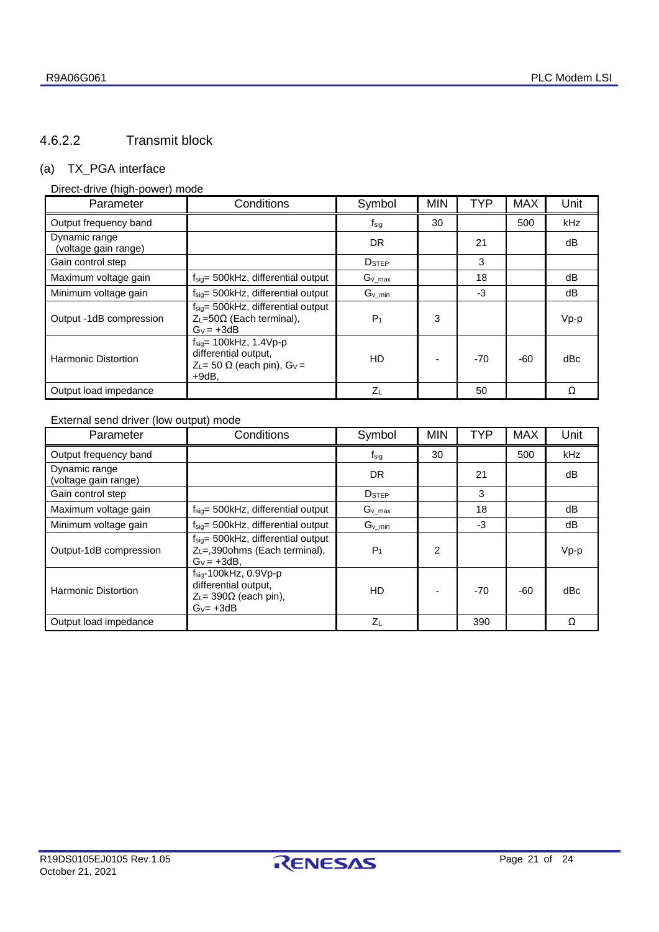### 4.6.2.2 Transmit block

#### (a) TX\_PGA interface

#### Direct-drive (high-power) mode

| Parameter                             | Conditions                                                                                                                 | Symbol            | <b>MIN</b> | TYP   | <b>MAX</b> | Unit   |
|---------------------------------------|----------------------------------------------------------------------------------------------------------------------------|-------------------|------------|-------|------------|--------|
| Output frequency band                 |                                                                                                                            | $f_{\text{sig}}$  | 30         |       | 500        | kHz    |
| Dynamic range<br>(voltage gain range) |                                                                                                                            | <b>DR</b>         |            | 21    |            | dB     |
| Gain control step                     |                                                                                                                            | D <sub>STEP</sub> |            | 3     |            |        |
| Maximum voltage gain                  | $f_{sig}$ = 500kHz, differential output                                                                                    | $G_v$ max         |            | 18    |            | dB     |
| Minimum voltage gain                  | $f_{\text{sig}} = 500$ kHz, differential output                                                                            | $G_v$ min         |            | -3    |            | dВ     |
| Output -1dB compression               | $f_{\text{sig}} = 500$ kHz, differential output<br>$Z_L$ =50 $\Omega$ (Each terminal),<br>$G_v = +3dB$                     | $P_1$             | 3          |       |            | $Vp-p$ |
| Harmonic Distortion                   | $f_{\text{sia}} = 100$ kHz, 1.4Vp-p<br>differential output,<br>$Z_L$ = 50 $\Omega$ (each pin), G <sub>V</sub> =<br>$+9dB.$ | HD                |            | $-70$ | -60        | dBc    |
| Output load impedance                 |                                                                                                                            | $Z_L$             |            | 50    |            | Ω      |

### External send driver (low output) mode

| Parameter                             | Conditions                                                                                                     | Symbol                   | <b>MIN</b> | <b>TYP</b> | <b>MAX</b> | Unit       |
|---------------------------------------|----------------------------------------------------------------------------------------------------------------|--------------------------|------------|------------|------------|------------|
| Output frequency band                 |                                                                                                                | $f_{\text{sig}}$         | 30         |            | 500        | <b>kHz</b> |
| Dynamic range<br>(voltage gain range) |                                                                                                                | DR                       |            | 21         |            | dB         |
| Gain control step                     |                                                                                                                | <b>D</b> <sub>STEP</sub> |            | 3          |            |            |
| Maximum voltage gain                  | $f_{\text{sio}} = 500$ kHz, differential output                                                                | $G_{v\_max}$             |            | 18         |            | dB         |
| Minimum voltage gain                  | $f_{\text{sig}} = 500$ kHz, differential output                                                                | $G_v$ <sub>min</sub>     |            | $-3$       |            | dB         |
| Output-1dB compression                | $f_{\text{sig}} = 500$ kHz, differential output<br>Z <sub>L</sub> =,390ohms (Each terminal),<br>$G_v = +3dB$ . | P <sub>1</sub>           | 2          |            |            | $Vp-p$     |
| <b>Harmonic Distortion</b>            | $f_{\text{sia}}$ -100kHz, 0.9Vp-p<br>differential output,<br>$Z_L$ = 390 $\Omega$ (each pin),<br>$G_v = +3dB$  | HD                       |            | $-70$      | $-60$      | dBc        |
| Output load impedance                 |                                                                                                                | $Z_L$                    |            | 390        |            | O          |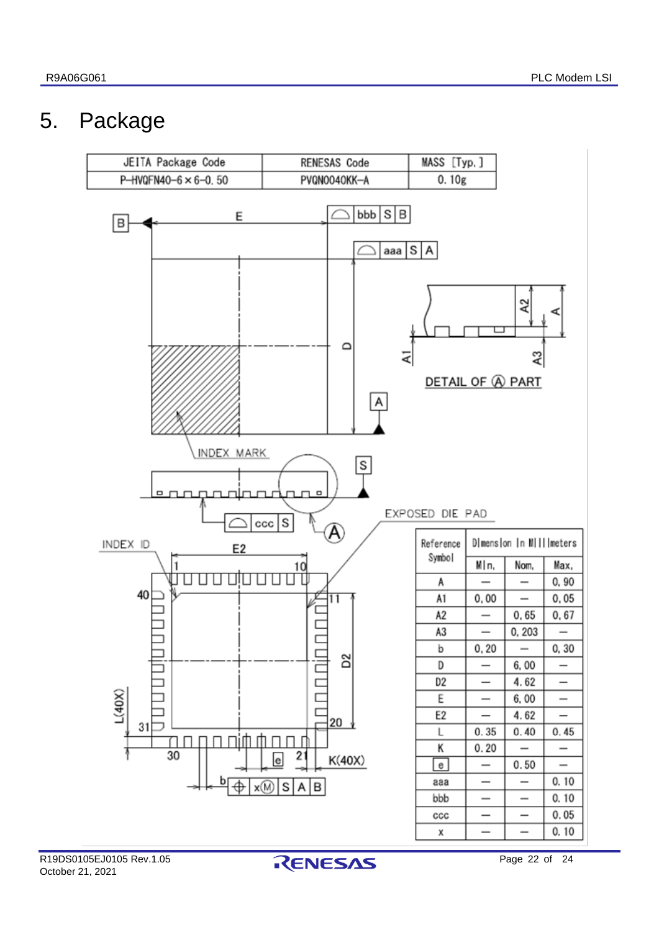# <span id="page-21-0"></span>5. Package



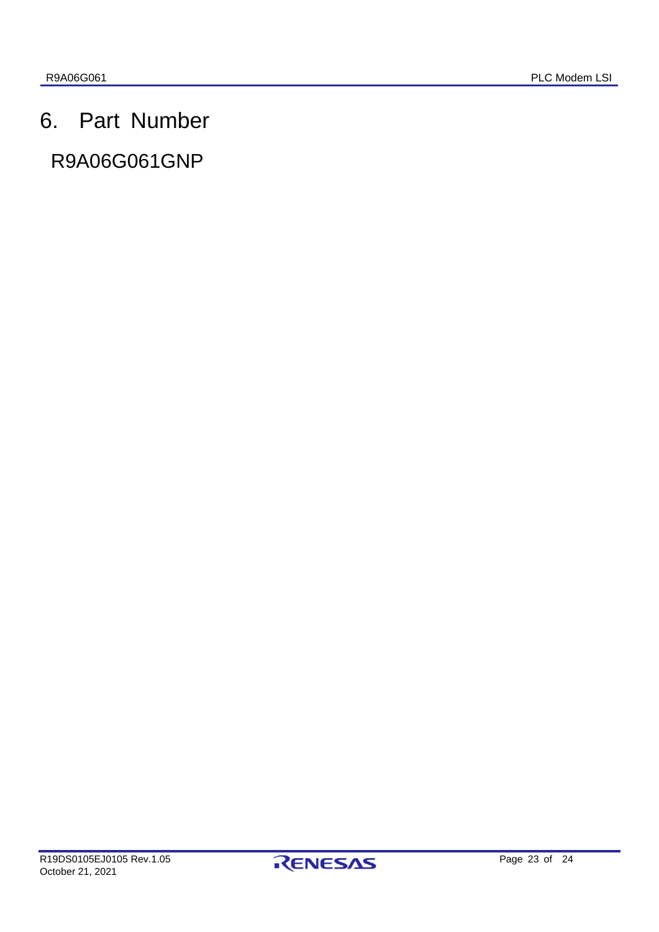# <span id="page-22-0"></span>6. Part Number

# R9A06G061GNP

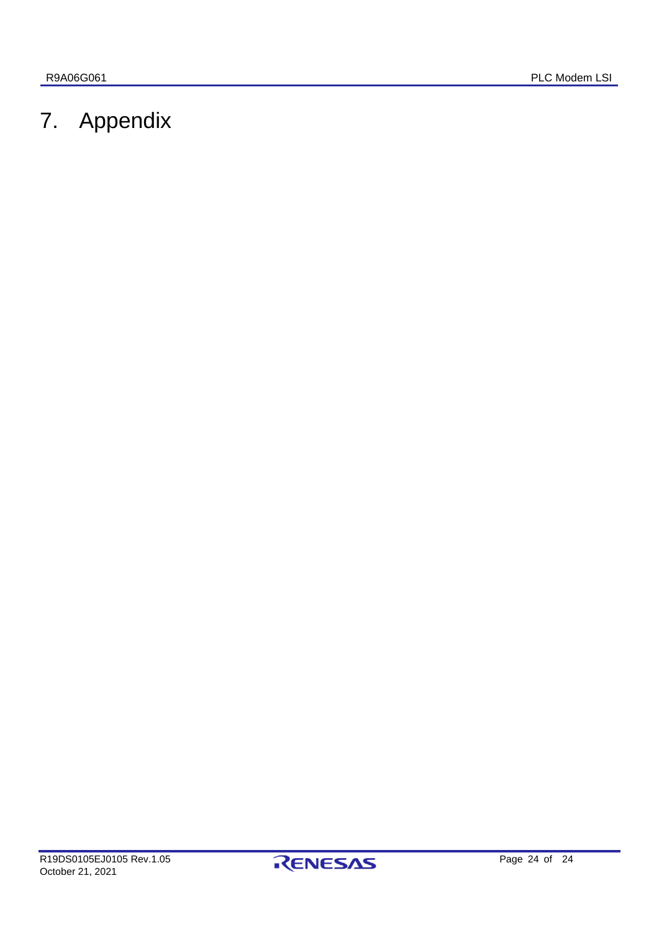# <span id="page-23-0"></span>7. Appendix